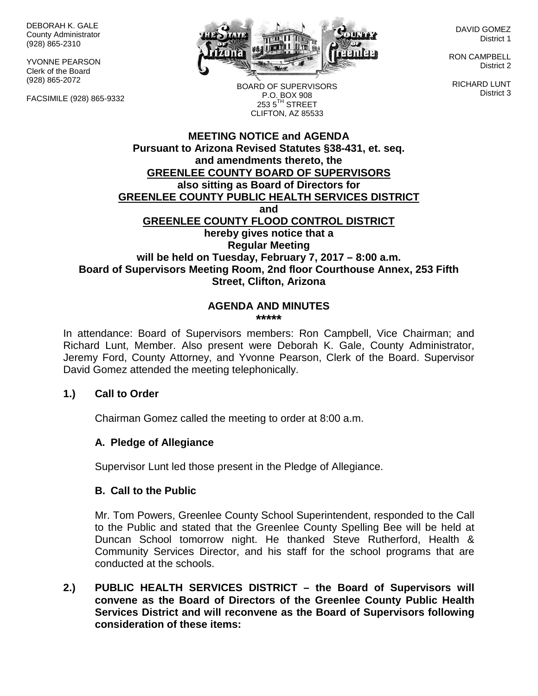DEBORAH K. GALE County Administrator (928) 865-2310

YVONNE PEARSON Clerk of the Board (928) 865-2072

FACSIMILE (928) 865-9332



DAVID GOMEZ District 1

RON CAMPBELL District 2

RICHARD LUNT District 3

BOARD OF SUPERVISORS P.O. BOX 908  $253.5$ <sup>TH</sup> STREET CLIFTON, AZ 85533

## **MEETING NOTICE and AGENDA Pursuant to Arizona Revised Statutes §38-431, et. seq. and amendments thereto, the GREENLEE COUNTY BOARD OF SUPERVISORS also sitting as Board of Directors for GREENLEE COUNTY PUBLIC HEALTH SERVICES DISTRICT and GREENLEE COUNTY FLOOD CONTROL DISTRICT hereby gives notice that a Regular Meeting will be held on Tuesday, February 7, 2017 – 8:00 a.m. Board of Supervisors Meeting Room, 2nd floor Courthouse Annex, 253 Fifth Street, Clifton, Arizona**

#### **AGENDA AND MINUTES \*\*\*\*\***

In attendance: Board of Supervisors members: Ron Campbell, Vice Chairman; and Richard Lunt, Member. Also present were Deborah K. Gale, County Administrator, Jeremy Ford, County Attorney, and Yvonne Pearson, Clerk of the Board. Supervisor David Gomez attended the meeting telephonically.

## **1.) Call to Order**

Chairman Gomez called the meeting to order at 8:00 a.m.

## **A. Pledge of Allegiance**

Supervisor Lunt led those present in the Pledge of Allegiance.

### **B. Call to the Public**

Mr. Tom Powers, Greenlee County School Superintendent, responded to the Call to the Public and stated that the Greenlee County Spelling Bee will be held at Duncan School tomorrow night. He thanked Steve Rutherford, Health & Community Services Director, and his staff for the school programs that are conducted at the schools.

**2.) PUBLIC HEALTH SERVICES DISTRICT – the Board of Supervisors will convene as the Board of Directors of the Greenlee County Public Health Services District and will reconvene as the Board of Supervisors following consideration of these items:**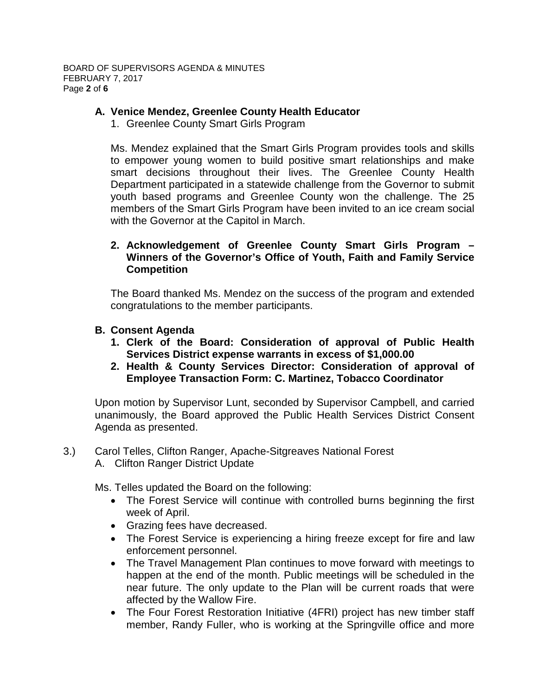# **A. Venice Mendez, Greenlee County Health Educator**

1. Greenlee County Smart Girls Program

Ms. Mendez explained that the Smart Girls Program provides tools and skills to empower young women to build positive smart relationships and make smart decisions throughout their lives. The Greenlee County Health Department participated in a statewide challenge from the Governor to submit youth based programs and Greenlee County won the challenge. The 25 members of the Smart Girls Program have been invited to an ice cream social with the Governor at the Capitol in March.

## **2. Acknowledgement of Greenlee County Smart Girls Program – Winners of the Governor's Office of Youth, Faith and Family Service Competition**

The Board thanked Ms. Mendez on the success of the program and extended congratulations to the member participants.

## **B. Consent Agenda**

- **1. Clerk of the Board: Consideration of approval of Public Health Services District expense warrants in excess of \$1,000.00**
- **2. Health & County Services Director: Consideration of approval of Employee Transaction Form: C. Martinez, Tobacco Coordinator**

Upon motion by Supervisor Lunt, seconded by Supervisor Campbell, and carried unanimously, the Board approved the Public Health Services District Consent Agenda as presented.

## 3.) Carol Telles, Clifton Ranger, Apache-Sitgreaves National Forest

A. Clifton Ranger District Update

Ms. Telles updated the Board on the following:

- The Forest Service will continue with controlled burns beginning the first week of April.
- Grazing fees have decreased.
- The Forest Service is experiencing a hiring freeze except for fire and law enforcement personnel.
- The Travel Management Plan continues to move forward with meetings to happen at the end of the month. Public meetings will be scheduled in the near future. The only update to the Plan will be current roads that were affected by the Wallow Fire.
- The Four Forest Restoration Initiative (4FRI) project has new timber staff member, Randy Fuller, who is working at the Springville office and more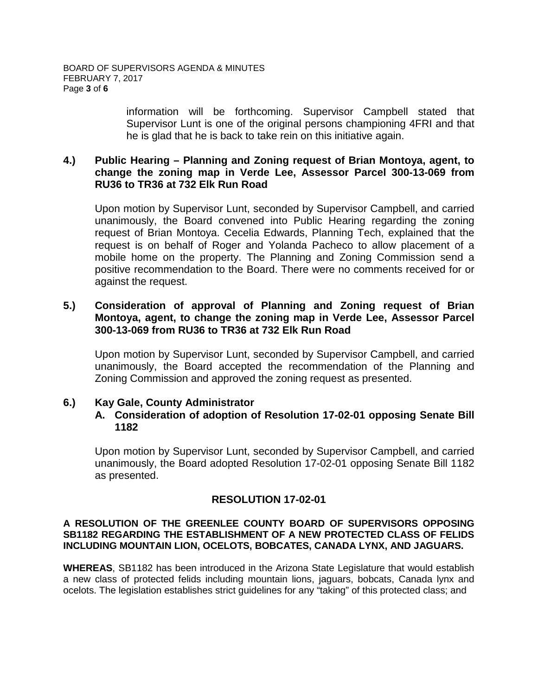information will be forthcoming. Supervisor Campbell stated that Supervisor Lunt is one of the original persons championing 4FRI and that he is glad that he is back to take rein on this initiative again.

### **4.) Public Hearing – Planning and Zoning request of Brian Montoya, agent, to change the zoning map in Verde Lee, Assessor Parcel 300-13-069 from RU36 to TR36 at 732 Elk Run Road**

Upon motion by Supervisor Lunt, seconded by Supervisor Campbell, and carried unanimously, the Board convened into Public Hearing regarding the zoning request of Brian Montoya. Cecelia Edwards, Planning Tech, explained that the request is on behalf of Roger and Yolanda Pacheco to allow placement of a mobile home on the property. The Planning and Zoning Commission send a positive recommendation to the Board. There were no comments received for or against the request.

### **5.) Consideration of approval of Planning and Zoning request of Brian Montoya, agent, to change the zoning map in Verde Lee, Assessor Parcel 300-13-069 from RU36 to TR36 at 732 Elk Run Road**

Upon motion by Supervisor Lunt, seconded by Supervisor Campbell, and carried unanimously, the Board accepted the recommendation of the Planning and Zoning Commission and approved the zoning request as presented.

### **6.) Kay Gale, County Administrator A. Consideration of adoption of Resolution 17-02-01 opposing Senate Bill 1182**

Upon motion by Supervisor Lunt, seconded by Supervisor Campbell, and carried unanimously, the Board adopted Resolution 17-02-01 opposing Senate Bill 1182 as presented.

# **RESOLUTION 17-02-01**

### **A RESOLUTION OF THE GREENLEE COUNTY BOARD OF SUPERVISORS OPPOSING SB1182 REGARDING THE ESTABLISHMENT OF A NEW PROTECTED CLASS OF FELIDS INCLUDING MOUNTAIN LION, OCELOTS, BOBCATES, CANADA LYNX, AND JAGUARS.**

**WHEREAS**, SB1182 has been introduced in the Arizona State Legislature that would establish a new class of protected felids including mountain lions, jaguars, bobcats, Canada lynx and ocelots. The legislation establishes strict guidelines for any "taking" of this protected class; and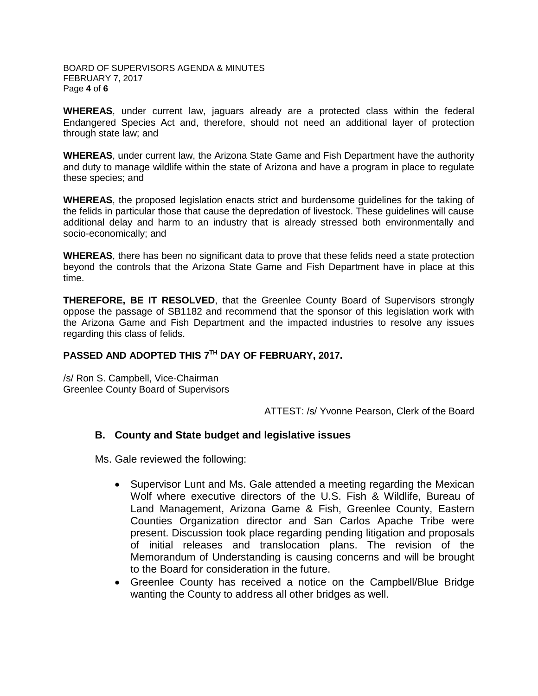#### BOARD OF SUPERVISORS AGENDA & MINUTES FEBRUARY 7, 2017 Page **4** of **6**

**WHEREAS**, under current law, jaguars already are a protected class within the federal Endangered Species Act and, therefore, should not need an additional layer of protection through state law; and

**WHEREAS**, under current law, the Arizona State Game and Fish Department have the authority and duty to manage wildlife within the state of Arizona and have a program in place to regulate these species; and

**WHEREAS**, the proposed legislation enacts strict and burdensome guidelines for the taking of the felids in particular those that cause the depredation of livestock. These guidelines will cause additional delay and harm to an industry that is already stressed both environmentally and socio-economically; and

**WHEREAS**, there has been no significant data to prove that these felids need a state protection beyond the controls that the Arizona State Game and Fish Department have in place at this time.

**THEREFORE, BE IT RESOLVED**, that the Greenlee County Board of Supervisors strongly oppose the passage of SB1182 and recommend that the sponsor of this legislation work with the Arizona Game and Fish Department and the impacted industries to resolve any issues regarding this class of felids.

# **PASSED AND ADOPTED THIS 7TH DAY OF FEBRUARY, 2017.**

/s/ Ron S. Campbell, Vice-Chairman Greenlee County Board of Supervisors

ATTEST: /s/ Yvonne Pearson, Clerk of the Board

### **B. County and State budget and legislative issues**

Ms. Gale reviewed the following:

- Supervisor Lunt and Ms. Gale attended a meeting regarding the Mexican Wolf where executive directors of the U.S. Fish & Wildlife, Bureau of Land Management, Arizona Game & Fish, Greenlee County, Eastern Counties Organization director and San Carlos Apache Tribe were present. Discussion took place regarding pending litigation and proposals of initial releases and translocation plans. The revision of the Memorandum of Understanding is causing concerns and will be brought to the Board for consideration in the future.
- Greenlee County has received a notice on the Campbell/Blue Bridge wanting the County to address all other bridges as well.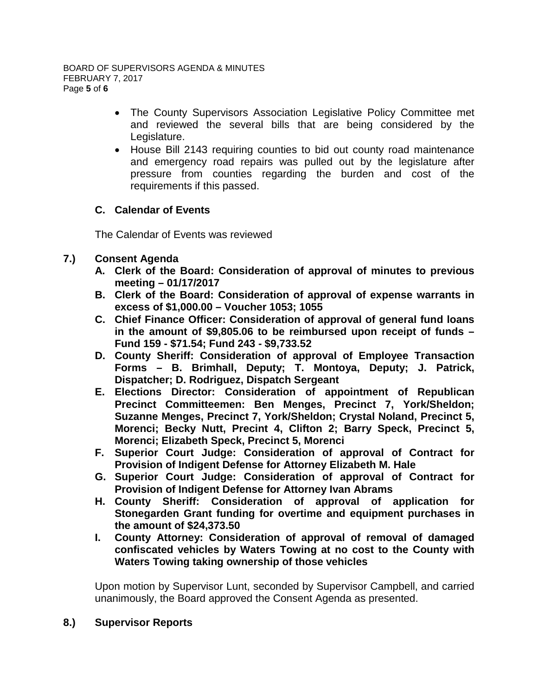- The County Supervisors Association Legislative Policy Committee met and reviewed the several bills that are being considered by the Legislature.
- House Bill 2143 requiring counties to bid out county road maintenance and emergency road repairs was pulled out by the legislature after pressure from counties regarding the burden and cost of the requirements if this passed.

# **C. Calendar of Events**

The Calendar of Events was reviewed

# **7.) Consent Agenda**

- **A. Clerk of the Board: Consideration of approval of minutes to previous meeting – 01/17/2017**
- **B. Clerk of the Board: Consideration of approval of expense warrants in excess of \$1,000.00 – Voucher 1053; 1055**
- **C. Chief Finance Officer: Consideration of approval of general fund loans in the amount of \$9,805.06 to be reimbursed upon receipt of funds – Fund 159 - \$71.54; Fund 243 - \$9,733.52**
- **D. County Sheriff: Consideration of approval of Employee Transaction Forms – B. Brimhall, Deputy; T. Montoya, Deputy; J. Patrick, Dispatcher; D. Rodriguez, Dispatch Sergeant**
- **E. Elections Director: Consideration of appointment of Republican Precinct Committeemen: Ben Menges, Precinct 7, York/Sheldon; Suzanne Menges, Precinct 7, York/Sheldon; Crystal Noland, Precinct 5, Morenci; Becky Nutt, Precint 4, Clifton 2; Barry Speck, Precinct 5, Morenci; Elizabeth Speck, Precinct 5, Morenci**
- **F. Superior Court Judge: Consideration of approval of Contract for Provision of Indigent Defense for Attorney Elizabeth M. Hale**
- **G. Superior Court Judge: Consideration of approval of Contract for Provision of Indigent Defense for Attorney Ivan Abrams**
- **H. County Sheriff: Consideration of approval of application for Stonegarden Grant funding for overtime and equipment purchases in the amount of \$24,373.50**
- **I. County Attorney: Consideration of approval of removal of damaged confiscated vehicles by Waters Towing at no cost to the County with Waters Towing taking ownership of those vehicles**

Upon motion by Supervisor Lunt, seconded by Supervisor Campbell, and carried unanimously, the Board approved the Consent Agenda as presented.

## **8.) Supervisor Reports**